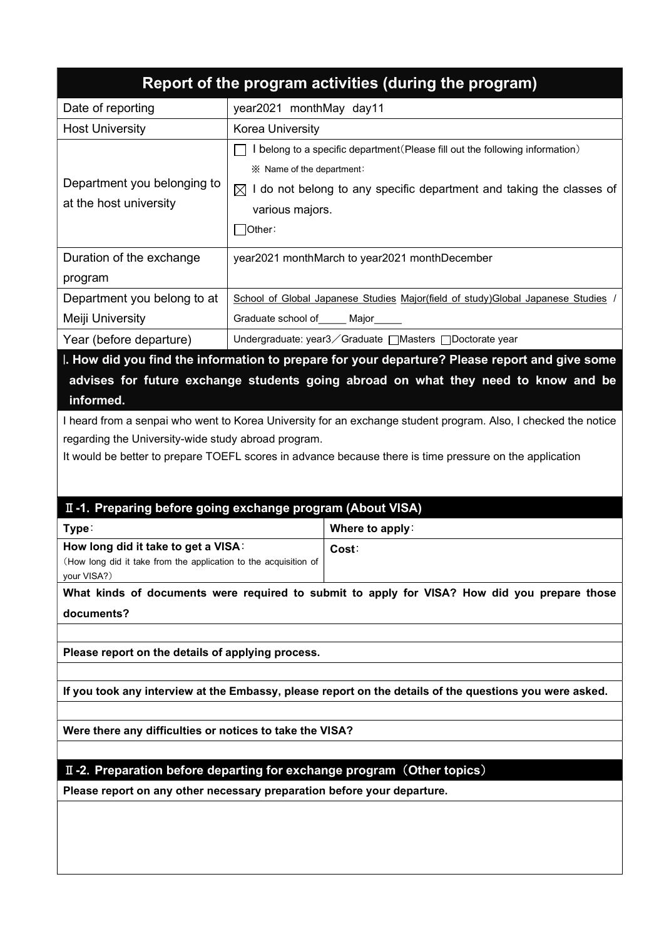|                                                                                                                                                                                                                                                                                                                                                                                                                                                                                       |                                                                                  | Report of the program activities (during the program)                                                   |  |  |  |  |
|---------------------------------------------------------------------------------------------------------------------------------------------------------------------------------------------------------------------------------------------------------------------------------------------------------------------------------------------------------------------------------------------------------------------------------------------------------------------------------------|----------------------------------------------------------------------------------|---------------------------------------------------------------------------------------------------------|--|--|--|--|
| Date of reporting                                                                                                                                                                                                                                                                                                                                                                                                                                                                     | year2021 monthMay day11                                                          |                                                                                                         |  |  |  |  |
| <b>Host University</b>                                                                                                                                                                                                                                                                                                                                                                                                                                                                | Korea University                                                                 |                                                                                                         |  |  |  |  |
|                                                                                                                                                                                                                                                                                                                                                                                                                                                                                       | I belong to a specific department (Please fill out the following information)    |                                                                                                         |  |  |  |  |
| Department you belonging to                                                                                                                                                                                                                                                                                                                                                                                                                                                           | ※ Name of the department:                                                        |                                                                                                         |  |  |  |  |
| at the host university                                                                                                                                                                                                                                                                                                                                                                                                                                                                | $\boxtimes$ I do not belong to any specific department and taking the classes of |                                                                                                         |  |  |  |  |
|                                                                                                                                                                                                                                                                                                                                                                                                                                                                                       | various majors.                                                                  |                                                                                                         |  |  |  |  |
|                                                                                                                                                                                                                                                                                                                                                                                                                                                                                       | ]Other∶                                                                          |                                                                                                         |  |  |  |  |
| Duration of the exchange                                                                                                                                                                                                                                                                                                                                                                                                                                                              |                                                                                  | year2021 monthMarch to year2021 monthDecember                                                           |  |  |  |  |
| program                                                                                                                                                                                                                                                                                                                                                                                                                                                                               |                                                                                  |                                                                                                         |  |  |  |  |
| Department you belong to at                                                                                                                                                                                                                                                                                                                                                                                                                                                           | School of Global Japanese Studies Major(field of study) Global Japanese Studies  |                                                                                                         |  |  |  |  |
| Meiji University                                                                                                                                                                                                                                                                                                                                                                                                                                                                      | Graduate school of_____ Major_____                                               |                                                                                                         |  |  |  |  |
| Year (before departure)                                                                                                                                                                                                                                                                                                                                                                                                                                                               |                                                                                  | Undergraduate: year3 / Graduate □ Masters □ Doctorate year                                              |  |  |  |  |
| I. How did you find the information to prepare for your departure? Please report and give some<br>advises for future exchange students going abroad on what they need to know and be<br>informed.<br>I heard from a senpai who went to Korea University for an exchange student program. Also, I checked the notice<br>regarding the University-wide study abroad program.<br>It would be better to prepare TOEFL scores in advance because there is time pressure on the application |                                                                                  |                                                                                                         |  |  |  |  |
| II -1. Preparing before going exchange program (About VISA)                                                                                                                                                                                                                                                                                                                                                                                                                           |                                                                                  |                                                                                                         |  |  |  |  |
| Type:                                                                                                                                                                                                                                                                                                                                                                                                                                                                                 |                                                                                  | Where to apply:                                                                                         |  |  |  |  |
| How long did it take to get a VISA:<br>(How long did it take from the application to the acquisition of<br>your VISA?)                                                                                                                                                                                                                                                                                                                                                                |                                                                                  | Cost:                                                                                                   |  |  |  |  |
| What kinds of documents were required to submit to apply for VISA? How did you prepare those                                                                                                                                                                                                                                                                                                                                                                                          |                                                                                  |                                                                                                         |  |  |  |  |
| documents?                                                                                                                                                                                                                                                                                                                                                                                                                                                                            |                                                                                  |                                                                                                         |  |  |  |  |
|                                                                                                                                                                                                                                                                                                                                                                                                                                                                                       |                                                                                  |                                                                                                         |  |  |  |  |
| Please report on the details of applying process.                                                                                                                                                                                                                                                                                                                                                                                                                                     |                                                                                  |                                                                                                         |  |  |  |  |
|                                                                                                                                                                                                                                                                                                                                                                                                                                                                                       |                                                                                  |                                                                                                         |  |  |  |  |
|                                                                                                                                                                                                                                                                                                                                                                                                                                                                                       |                                                                                  |                                                                                                         |  |  |  |  |
|                                                                                                                                                                                                                                                                                                                                                                                                                                                                                       |                                                                                  | If you took any interview at the Embassy, please report on the details of the questions you were asked. |  |  |  |  |
| Were there any difficulties or notices to take the VISA?                                                                                                                                                                                                                                                                                                                                                                                                                              |                                                                                  |                                                                                                         |  |  |  |  |

## II-2. Preparation before departing for exchange program (Other topics)

Please report on any other necessary preparation before your departure.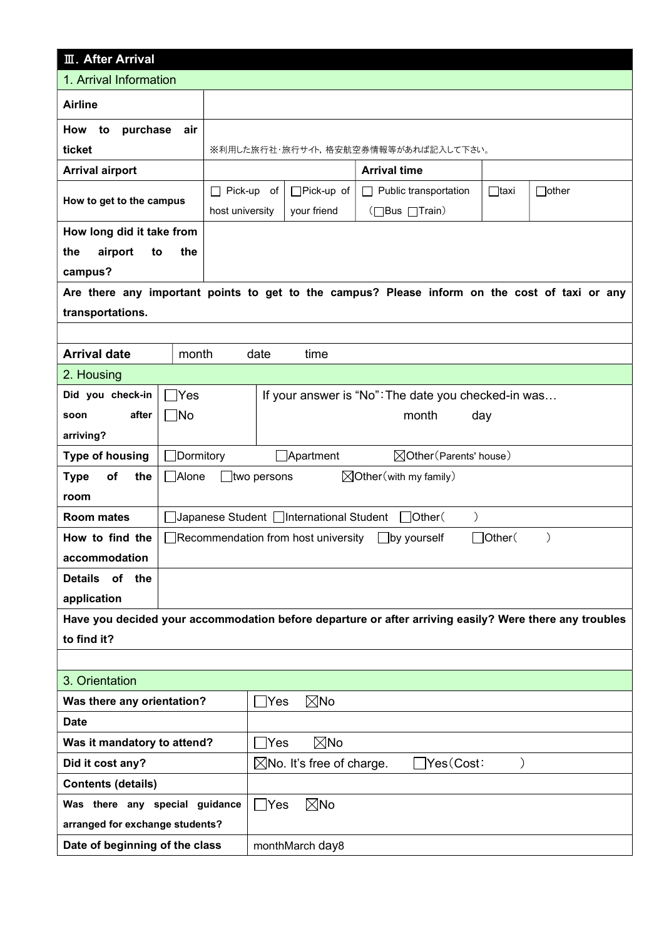| <b>III. After Arrival</b>                                         |                                                                                     |                                        |                     |                                                                                                        |             |              |  |  |  |
|-------------------------------------------------------------------|-------------------------------------------------------------------------------------|----------------------------------------|---------------------|--------------------------------------------------------------------------------------------------------|-------------|--------------|--|--|--|
| 1. Arrival Information                                            |                                                                                     |                                        |                     |                                                                                                        |             |              |  |  |  |
| <b>Airline</b>                                                    |                                                                                     |                                        |                     |                                                                                                        |             |              |  |  |  |
| purchase<br>How<br>to                                             | air                                                                                 |                                        |                     |                                                                                                        |             |              |  |  |  |
| ticket                                                            |                                                                                     | ※利用した旅行社・旅行サイト,格安航空券情報等があれば記入して下さい。    |                     |                                                                                                        |             |              |  |  |  |
| <b>Arrival airport</b>                                            |                                                                                     |                                        | <b>Arrival time</b> |                                                                                                        |             |              |  |  |  |
|                                                                   |                                                                                     | $\Box$ Pick-up of<br>$\Box$ Pick-up of |                     | $\Box$ Public transportation                                                                           | $\Box$ taxi | $\Box$ other |  |  |  |
| How to get to the campus                                          | host university                                                                     |                                        | your friend         | (□Bus □Train)                                                                                          |             |              |  |  |  |
| How long did it take from                                         |                                                                                     |                                        |                     |                                                                                                        |             |              |  |  |  |
| airport<br>the<br>to                                              | the                                                                                 |                                        |                     |                                                                                                        |             |              |  |  |  |
| campus?                                                           |                                                                                     |                                        |                     |                                                                                                        |             |              |  |  |  |
|                                                                   |                                                                                     |                                        |                     | Are there any important points to get to the campus? Please inform on the cost of taxi or any          |             |              |  |  |  |
| transportations.                                                  |                                                                                     |                                        |                     |                                                                                                        |             |              |  |  |  |
|                                                                   |                                                                                     |                                        |                     |                                                                                                        |             |              |  |  |  |
| <b>Arrival date</b><br>month<br>date<br>time                      |                                                                                     |                                        |                     |                                                                                                        |             |              |  |  |  |
| 2. Housing                                                        |                                                                                     |                                        |                     |                                                                                                        |             |              |  |  |  |
| Did you check-in                                                  | $\exists$ Yes<br>If your answer is "No": The date you checked-in was                |                                        |                     |                                                                                                        |             |              |  |  |  |
| after<br>soon                                                     | ∃No                                                                                 |                                        |                     | month                                                                                                  | day         |              |  |  |  |
| arriving?                                                         |                                                                                     |                                        |                     |                                                                                                        |             |              |  |  |  |
| <b>Type of housing</b>                                            | Dormitory<br>$\Box$ Apartment<br>$\boxtimes$ Other (Parents' house)                 |                                        |                     |                                                                                                        |             |              |  |  |  |
| <b>Type</b><br>of<br>the                                          | Alone<br>$\boxtimes$ Other (with my family)<br>$\Box$ two persons                   |                                        |                     |                                                                                                        |             |              |  |  |  |
| room                                                              |                                                                                     |                                        |                     |                                                                                                        |             |              |  |  |  |
| <b>Room mates</b>                                                 | $\mathcal{C}^{\prime}$<br>Japanese Student □International Student<br>$\Box$ Other(  |                                        |                     |                                                                                                        |             |              |  |  |  |
| How to find the                                                   | $\Box$ Other $($<br>∐Recommendation from host university<br>$\bigsqcup$ by yourself |                                        |                     |                                                                                                        |             |              |  |  |  |
| accommodation                                                     |                                                                                     |                                        |                     |                                                                                                        |             |              |  |  |  |
| of the<br><b>Details</b>                                          |                                                                                     |                                        |                     |                                                                                                        |             |              |  |  |  |
| application                                                       |                                                                                     |                                        |                     |                                                                                                        |             |              |  |  |  |
|                                                                   |                                                                                     |                                        |                     | Have you decided your accommodation before departure or after arriving easily? Were there any troubles |             |              |  |  |  |
| to find it?                                                       |                                                                                     |                                        |                     |                                                                                                        |             |              |  |  |  |
|                                                                   |                                                                                     |                                        |                     |                                                                                                        |             |              |  |  |  |
| 3. Orientation                                                    |                                                                                     |                                        |                     |                                                                                                        |             |              |  |  |  |
| Was there any orientation?                                        |                                                                                     | Yes                                    | $\boxtimes$ No      |                                                                                                        |             |              |  |  |  |
| <b>Date</b>                                                       |                                                                                     |                                        |                     |                                                                                                        |             |              |  |  |  |
| Was it mandatory to attend?                                       |                                                                                     | $\boxtimes$ No<br>Yes                  |                     |                                                                                                        |             |              |  |  |  |
| Did it cost any?                                                  |                                                                                     | $\boxtimes$ No. It's free of charge.   | Yes(Cost:           |                                                                                                        |             |              |  |  |  |
| <b>Contents (details)</b>                                         |                                                                                     |                                        |                     |                                                                                                        |             |              |  |  |  |
| $\boxtimes$ No<br>$\bigcap$ Yes<br>Was there any special guidance |                                                                                     |                                        |                     |                                                                                                        |             |              |  |  |  |
| arranged for exchange students?                                   |                                                                                     |                                        |                     |                                                                                                        |             |              |  |  |  |
| Date of beginning of the class                                    |                                                                                     |                                        | monthMarch day8     |                                                                                                        |             |              |  |  |  |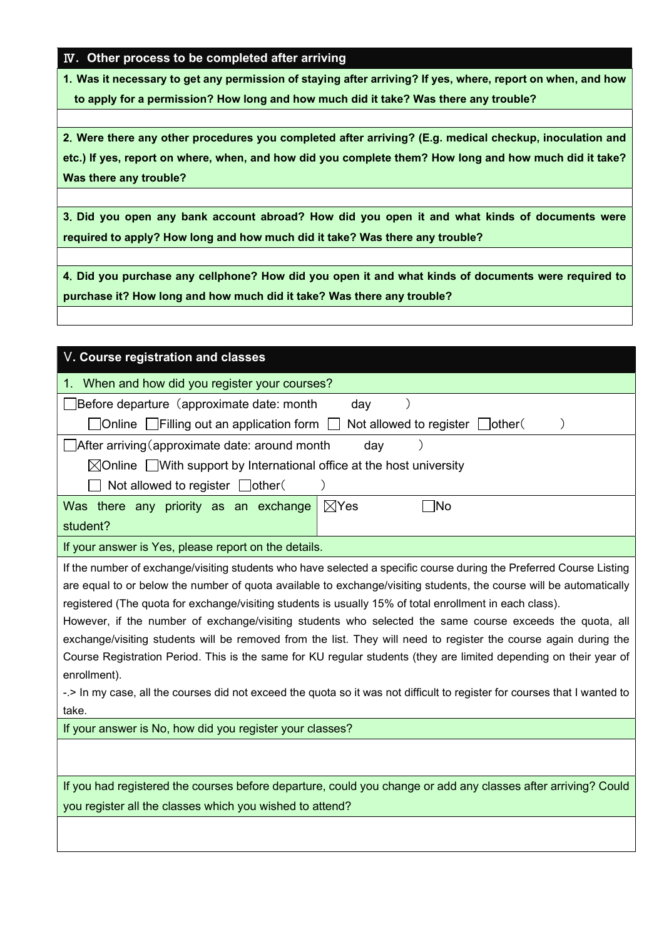## Ⅳ. Other process to be completed after arriving

1.Was it necessary to get any permission of staying after arriving? If yes, where, report on when, and how to apply for a permission? How long and how much did it take? Was there any trouble?

2.Were there any other procedures you completed after arriving? (E.g. medical checkup, inoculation and etc.) If yes, report on where, when, and how did you complete them? How long and how much did it take? Was there any trouble?

3.Did you open any bank account abroad? How did you open it and what kinds of documents were required to apply? How long and how much did it take? Was there any trouble?

4.Did you purchase any cellphone? How did you open it and what kinds of documents were required to purchase it? How long and how much did it take? Was there any trouble?

| V. Course registration and classes                                                                                                                                                                                                                                                                                                                                                                                                                                                                                                                                                                                                                                                                                                                                                                                                                               |  |  |  |  |  |  |
|------------------------------------------------------------------------------------------------------------------------------------------------------------------------------------------------------------------------------------------------------------------------------------------------------------------------------------------------------------------------------------------------------------------------------------------------------------------------------------------------------------------------------------------------------------------------------------------------------------------------------------------------------------------------------------------------------------------------------------------------------------------------------------------------------------------------------------------------------------------|--|--|--|--|--|--|
| 1. When and how did you register your courses?                                                                                                                                                                                                                                                                                                                                                                                                                                                                                                                                                                                                                                                                                                                                                                                                                   |  |  |  |  |  |  |
| Before departure (approximate date: month<br>day                                                                                                                                                                                                                                                                                                                                                                                                                                                                                                                                                                                                                                                                                                                                                                                                                 |  |  |  |  |  |  |
| Not allowed to register other<br>$\Box$ Online $\Box$ Filling out an application form                                                                                                                                                                                                                                                                                                                                                                                                                                                                                                                                                                                                                                                                                                                                                                            |  |  |  |  |  |  |
| $\Box$ After arriving (approximate date: around month<br>day                                                                                                                                                                                                                                                                                                                                                                                                                                                                                                                                                                                                                                                                                                                                                                                                     |  |  |  |  |  |  |
| $\boxtimes$ Online $\Box$ With support by International office at the host university                                                                                                                                                                                                                                                                                                                                                                                                                                                                                                                                                                                                                                                                                                                                                                            |  |  |  |  |  |  |
| Not allowed to register other                                                                                                                                                                                                                                                                                                                                                                                                                                                                                                                                                                                                                                                                                                                                                                                                                                    |  |  |  |  |  |  |
| $\boxtimes$ Yes<br>Was there any priority as an exchange<br>้ No                                                                                                                                                                                                                                                                                                                                                                                                                                                                                                                                                                                                                                                                                                                                                                                                 |  |  |  |  |  |  |
| student?                                                                                                                                                                                                                                                                                                                                                                                                                                                                                                                                                                                                                                                                                                                                                                                                                                                         |  |  |  |  |  |  |
| If your answer is Yes, please report on the details.                                                                                                                                                                                                                                                                                                                                                                                                                                                                                                                                                                                                                                                                                                                                                                                                             |  |  |  |  |  |  |
| If the number of exchange/visiting students who have selected a specific course during the Preferred Course Listing<br>are equal to or below the number of quota available to exchange/visiting students, the course will be automatically<br>registered (The quota for exchange/visiting students is usually 15% of total enrollment in each class).<br>However, if the number of exchange/visiting students who selected the same course exceeds the quota, all<br>exchange/visiting students will be removed from the list. They will need to register the course again during the<br>Course Registration Period. This is the same for KU regular students (they are limited depending on their year of<br>enrollment).<br>-.> In my case, all the courses did not exceed the quota so it was not difficult to register for courses that I wanted to<br>take. |  |  |  |  |  |  |
| If your answer is No, how did you register your classes?                                                                                                                                                                                                                                                                                                                                                                                                                                                                                                                                                                                                                                                                                                                                                                                                         |  |  |  |  |  |  |
|                                                                                                                                                                                                                                                                                                                                                                                                                                                                                                                                                                                                                                                                                                                                                                                                                                                                  |  |  |  |  |  |  |
| If you had registered the courses before departure, could you change or add any classes after arriving? Could                                                                                                                                                                                                                                                                                                                                                                                                                                                                                                                                                                                                                                                                                                                                                    |  |  |  |  |  |  |
| you register all the classes which you wished to attend?                                                                                                                                                                                                                                                                                                                                                                                                                                                                                                                                                                                                                                                                                                                                                                                                         |  |  |  |  |  |  |
|                                                                                                                                                                                                                                                                                                                                                                                                                                                                                                                                                                                                                                                                                                                                                                                                                                                                  |  |  |  |  |  |  |